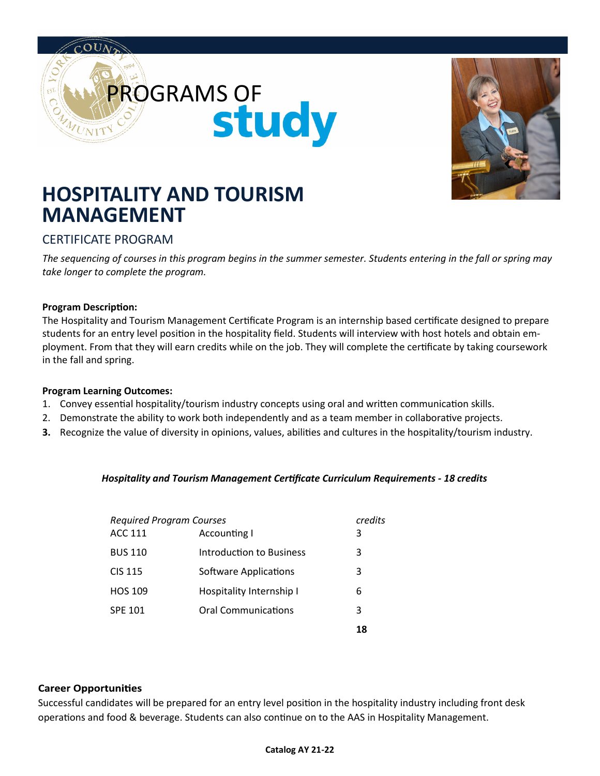



# **HOSPITALITY AND TOURISM MANAGEMENT**

### CERTIFICATE PROGRAM

*The sequencing of courses in this program begins in the summer semester. Students entering in the fall or spring may take longer to complete the program.*

#### **Program Description:**

The Hospitality and Tourism Management Certificate Program is an internship based certificate designed to prepare students for an entry level position in the hospitality field. Students will interview with host hotels and obtain employment. From that they will earn credits while on the job. They will complete the certificate by taking coursework in the fall and spring.

#### **Program Learning Outcomes:**

- 1. Convey essential hospitality/tourism industry concepts using oral and written communication skills.
- 2. Demonstrate the ability to work both independently and as a team member in collaborative projects.
- **3.** Recognize the value of diversity in opinions, values, abilities and cultures in the hospitality/tourism industry.

#### *Hospitality and Tourism Management Certificate Curriculum Requirements - 18 credits*

| <b>Required Program Courses</b> |                            |    |
|---------------------------------|----------------------------|----|
| <b>ACC 111</b>                  | Accounting I               | 3  |
| <b>BUS 110</b>                  | Introduction to Business   | 3  |
| <b>CIS 115</b>                  | Software Applications      | 3  |
| <b>HOS 109</b>                  | Hospitality Internship I   | 6  |
| <b>SPE 101</b>                  | <b>Oral Communications</b> | 3  |
|                                 |                            | 18 |

#### **Career Opportunities**

Successful candidates will be prepared for an entry level position in the hospitality industry including front desk operations and food & beverage. Students can also continue on to the AAS in Hospitality Management.